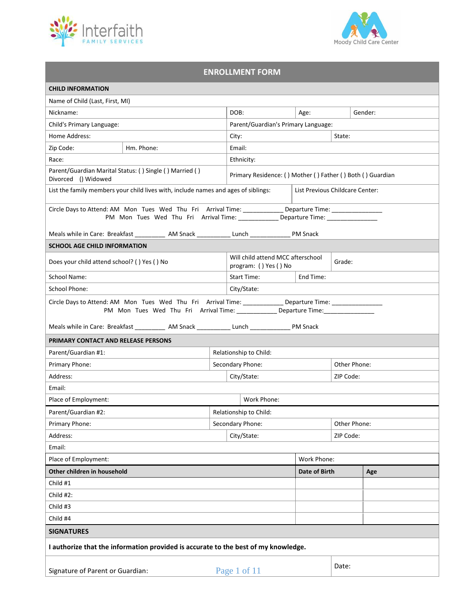



## **ENROLLMENT FORM**

| <b>CHILD INFORMATION</b>                                                                                                                                                                           |                                                                                                                                                                                                         |                                     |                                                            |                                 |              |           |  |
|----------------------------------------------------------------------------------------------------------------------------------------------------------------------------------------------------|---------------------------------------------------------------------------------------------------------------------------------------------------------------------------------------------------------|-------------------------------------|------------------------------------------------------------|---------------------------------|--------------|-----------|--|
| Name of Child (Last, First, MI)                                                                                                                                                                    |                                                                                                                                                                                                         |                                     |                                                            |                                 |              |           |  |
| Nickname:                                                                                                                                                                                          |                                                                                                                                                                                                         | DOB:                                | Age:                                                       |                                 | Gender:      |           |  |
| Child's Primary Language:                                                                                                                                                                          |                                                                                                                                                                                                         | Parent/Guardian's Primary Language: |                                                            |                                 |              |           |  |
| Home Address:                                                                                                                                                                                      |                                                                                                                                                                                                         | City:<br>State:                     |                                                            |                                 |              |           |  |
| Zip Code:                                                                                                                                                                                          | Hm. Phone:                                                                                                                                                                                              |                                     | Email:                                                     |                                 |              |           |  |
| Race:                                                                                                                                                                                              |                                                                                                                                                                                                         |                                     | Ethnicity:                                                 |                                 |              |           |  |
| Divorced () Widowed                                                                                                                                                                                | Parent/Guardian Marital Status: () Single () Married ()                                                                                                                                                 |                                     | Primary Residence: () Mother () Father () Both () Guardian |                                 |              |           |  |
|                                                                                                                                                                                                    | List the family members your child lives with, include names and ages of siblings:                                                                                                                      |                                     |                                                            | List Previous Childcare Center: |              |           |  |
|                                                                                                                                                                                                    | Circle Days to Attend: AM Mon Tues Wed Thu Fri Arrival Time: _______________ Departure Time: ________________<br>PM Mon Tues Wed Thu Fri Arrival Time: _________________ Departure Time: ______________ |                                     |                                                            |                                 |              |           |  |
|                                                                                                                                                                                                    | Meals while in Care: Breakfast ____________ AM Snack ______________ Lunch __________________ PM Snack                                                                                                   |                                     |                                                            |                                 |              |           |  |
| <b>SCHOOL AGE CHILD INFORMATION</b>                                                                                                                                                                |                                                                                                                                                                                                         |                                     |                                                            |                                 |              |           |  |
| Does your child attend school? () Yes () No                                                                                                                                                        |                                                                                                                                                                                                         |                                     | Will child attend MCC afterschool<br>program: () Yes () No |                                 | Grade:       |           |  |
| School Name:                                                                                                                                                                                       |                                                                                                                                                                                                         |                                     | Start Time:                                                | End Time:                       |              |           |  |
| <b>School Phone:</b>                                                                                                                                                                               |                                                                                                                                                                                                         |                                     | City/State:                                                |                                 |              |           |  |
| Circle Days to Attend: AM Mon Tues Wed Thu Fri Arrival Time: _______________ Departure Time: ________________<br>PM Mon Tues Wed Thu Fri Arrival Time: ______________ Departure Time: ____________ |                                                                                                                                                                                                         |                                     |                                                            |                                 |              |           |  |
|                                                                                                                                                                                                    | Meals while in Care: Breakfast _____________ AM Snack ________________Lunch __________________ PM Snack                                                                                                 |                                     |                                                            |                                 |              |           |  |
| PRIMARY CONTACT AND RELEASE PERSONS                                                                                                                                                                |                                                                                                                                                                                                         |                                     |                                                            |                                 |              |           |  |
| Parent/Guardian #1:                                                                                                                                                                                |                                                                                                                                                                                                         |                                     | Relationship to Child:                                     |                                 |              |           |  |
| Primary Phone:                                                                                                                                                                                     |                                                                                                                                                                                                         |                                     | Secondary Phone:                                           |                                 | Other Phone: |           |  |
| Address:                                                                                                                                                                                           |                                                                                                                                                                                                         |                                     | City/State:                                                |                                 |              | ZIP Code: |  |
| Email:                                                                                                                                                                                             |                                                                                                                                                                                                         |                                     |                                                            |                                 |              |           |  |
| Place of Employment:                                                                                                                                                                               |                                                                                                                                                                                                         |                                     | Work Phone:                                                |                                 |              |           |  |
| Parent/Guardian #2:                                                                                                                                                                                |                                                                                                                                                                                                         |                                     | Relationship to Child:                                     |                                 |              |           |  |
| Primary Phone:                                                                                                                                                                                     |                                                                                                                                                                                                         |                                     | Secondary Phone:                                           |                                 | Other Phone: |           |  |
| Address:                                                                                                                                                                                           |                                                                                                                                                                                                         |                                     | City/State:                                                |                                 | ZIP Code:    |           |  |
| Email:                                                                                                                                                                                             |                                                                                                                                                                                                         |                                     |                                                            |                                 |              |           |  |
| Place of Employment:                                                                                                                                                                               |                                                                                                                                                                                                         |                                     |                                                            | Work Phone:                     |              |           |  |
| Other children in household                                                                                                                                                                        |                                                                                                                                                                                                         |                                     | Date of Birth                                              |                                 | Age          |           |  |
| Child #1                                                                                                                                                                                           |                                                                                                                                                                                                         |                                     |                                                            |                                 |              |           |  |
| Child #2:                                                                                                                                                                                          |                                                                                                                                                                                                         |                                     |                                                            |                                 |              |           |  |
| Child #3                                                                                                                                                                                           |                                                                                                                                                                                                         |                                     |                                                            |                                 |              |           |  |
| Child #4                                                                                                                                                                                           |                                                                                                                                                                                                         |                                     |                                                            |                                 |              |           |  |
| <b>SIGNATURES</b>                                                                                                                                                                                  |                                                                                                                                                                                                         |                                     |                                                            |                                 |              |           |  |
|                                                                                                                                                                                                    | I authorize that the information provided is accurate to the best of my knowledge.                                                                                                                      |                                     |                                                            |                                 |              |           |  |
| Signature of Parent or Guardian:                                                                                                                                                                   |                                                                                                                                                                                                         |                                     | Page 1 of 11                                               |                                 | Date:        |           |  |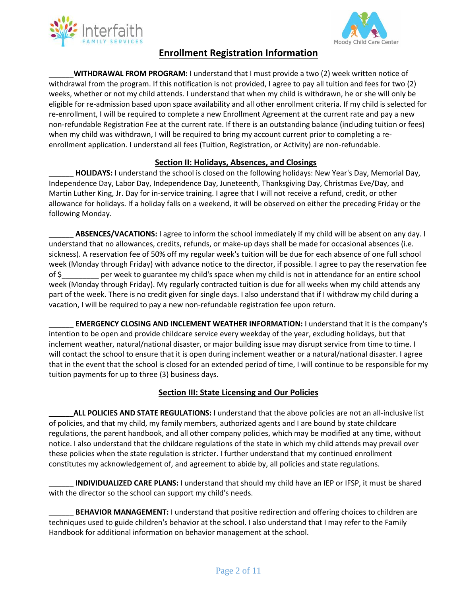



# **Enrollment Registration Information**

\_\_\_\_\_\_**WITHDRAWAL FROM PROGRAM:** I understand that I must provide a two (2) week written notice of withdrawal from the program. If this notification is not provided, I agree to pay all tuition and fees for two (2) weeks, whether or not my child attends. I understand that when my child is withdrawn, he or she will only be eligible for re-admission based upon space availability and all other enrollment criteria. If my child is selected for re-enrollment, I will be required to complete a new Enrollment Agreement at the current rate and pay a new non-refundable Registration Fee at the current rate. If there is an outstanding balance (including tuition or fees) when my child was withdrawn, I will be required to bring my account current prior to completing a reenrollment application. I understand all fees (Tuition, Registration, or Activity) are non-refundable.

## **Section II: Holidays, Absences, and Closings**

\_\_\_\_\_\_ **HOLIDAYS:** I understand the school is closed on the following holidays: New Year's Day, Memorial Day, Independence Day, Labor Day, Independence Day, Juneteenth, Thanksgiving Day, Christmas Eve/Day, and Martin Luther King, Jr. Day for in-service training. I agree that I will not receive a refund, credit, or other allowance for holidays. If a holiday falls on a weekend, it will be observed on either the preceding Friday or the following Monday.

\_\_\_\_\_\_ **ABSENCES/VACATIONS:** I agree to inform the school immediately if my child will be absent on any day. I understand that no allowances, credits, refunds, or make-up days shall be made for occasional absences (i.e. sickness). A reservation fee of 50% off my regular week's tuition will be due for each absence of one full school week (Monday through Friday) with advance notice to the director, if possible. I agree to pay the reservation fee of \$\_\_\_\_\_\_\_\_\_ per week to guarantee my child's space when my child is not in attendance for an entire school week (Monday through Friday). My regularly contracted tuition is due for all weeks when my child attends any part of the week. There is no credit given for single days. I also understand that if I withdraw my child during a vacation, I will be required to pay a new non-refundable registration fee upon return.

**EMERGENCY CLOSING AND INCLEMENT WEATHER INFORMATION:** I understand that it is the company's intention to be open and provide childcare service every weekday of the year, excluding holidays, but that inclement weather, natural/national disaster, or major building issue may disrupt service from time to time. I will contact the school to ensure that it is open during inclement weather or a natural/national disaster. I agree that in the event that the school is closed for an extended period of time, I will continue to be responsible for my tuition payments for up to three (3) business days.

## **Section III: State Licensing and Our Policies**

**\_\_\_\_\_\_ALL POLICIES AND STATE REGULATIONS:** I understand that the above policies are not an all-inclusive list of policies, and that my child, my family members, authorized agents and I are bound by state childcare regulations, the parent handbook, and all other company policies, which may be modified at any time, without notice. I also understand that the childcare regulations of the state in which my child attends may prevail over these policies when the state regulation is stricter. I further understand that my continued enrollment constitutes my acknowledgement of, and agreement to abide by, all policies and state regulations.

\_\_\_\_\_\_ **INDIVIDUALIZED CARE PLANS:** I understand that should my child have an IEP or IFSP, it must be shared with the director so the school can support my child's needs.

**BEHAVIOR MANAGEMENT:** I understand that positive redirection and offering choices to children are techniques used to guide children's behavior at the school. I also understand that I may refer to the Family Handbook for additional information on behavior management at the school.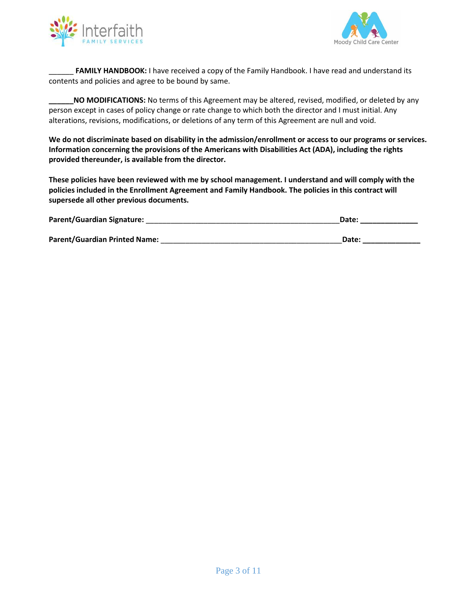



FAMILY HANDBOOK: I have received a copy of the Family Handbook. I have read and understand its contents and policies and agree to be bound by same.

**NO MODIFICATIONS:** No terms of this Agreement may be altered, revised, modified, or deleted by any person except in cases of policy change or rate change to which both the director and I must initial. Any alterations, revisions, modifications, or deletions of any term of this Agreement are null and void.

**We do not discriminate based on disability in the admission/enrollment or access to our programs or services. Information concerning the provisions of the Americans with Disabilities Act (ADA), including the rights provided thereunder, is available from the director.**

**These policies have been reviewed with me by school management. I understand and will comply with the policies included in the Enrollment Agreement and Family Handbook. The policies in this contract will supersede all other previous documents.**

| <b>Parent/Guardian Signature:</b>    | Date: |
|--------------------------------------|-------|
|                                      |       |
| <b>Parent/Guardian Printed Name:</b> | Date: |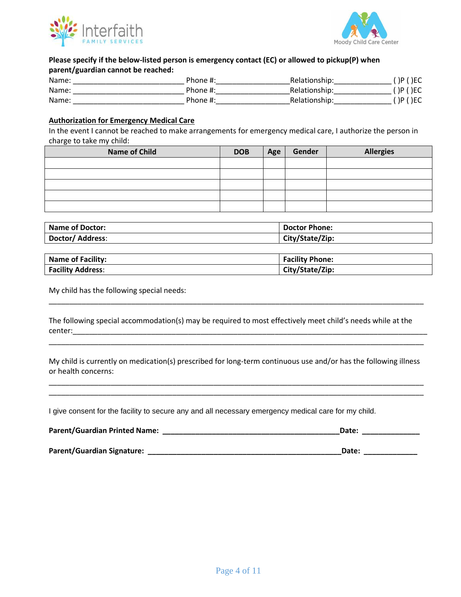



### **Please specify if the below-listed person is emergency contact (EC) or allowed to pickup(P) when parent/guardian cannot be reached:**

| Name: | Phone #:     | Relationship: | P()EC  |
|-------|--------------|---------------|--------|
| Name: | Phone $\#$ : | Relationship: | P()EC  |
| Name: | Phone #:     | Relationship: | P ()EC |

### **Authorization for Emergency Medical Care**

In the event I cannot be reached to make arrangements for emergency medical care, I authorize the person in charge to take my child:

| <b>Name of Child</b> | <b>DOB</b> | Age | Gender | <b>Allergies</b> |
|----------------------|------------|-----|--------|------------------|
|                      |            |     |        |                  |
|                      |            |     |        |                  |
|                      |            |     |        |                  |
|                      |            |     |        |                  |
|                      |            |     |        |                  |

| <b>Name of Doctor:</b> | <b>Doctor Phone:</b> |
|------------------------|----------------------|
| Doctor/ Address:       | City/State/Zip:      |

| <b>Name of Facility:</b> | <b>Facility Phone:</b> |
|--------------------------|------------------------|
| <b>Facility Address:</b> | City/State/Zip:        |

My child has the following special needs:

The following special accommodation(s) may be required to most effectively meet child's needs while at the center:

\_\_\_\_\_\_\_\_\_\_\_\_\_\_\_\_\_\_\_\_\_\_\_\_\_\_\_\_\_\_\_\_\_\_\_\_\_\_\_\_\_\_\_\_\_\_\_\_\_\_\_\_\_\_\_\_\_\_\_\_\_\_\_\_\_\_\_\_\_\_\_\_\_\_\_\_\_\_\_\_\_\_\_\_\_\_\_\_\_\_\_

My child is currently on medication(s) prescribed for long-term continuous use and/or has the following illness or health concerns:

\_\_\_\_\_\_\_\_\_\_\_\_\_\_\_\_\_\_\_\_\_\_\_\_\_\_\_\_\_\_\_\_\_\_\_\_\_\_\_\_\_\_\_\_\_\_\_\_\_\_\_\_\_\_\_\_\_\_\_\_\_\_\_\_\_\_\_\_\_\_\_\_\_\_\_\_\_\_\_\_\_\_\_\_\_\_\_\_\_\_\_ \_\_\_\_\_\_\_\_\_\_\_\_\_\_\_\_\_\_\_\_\_\_\_\_\_\_\_\_\_\_\_\_\_\_\_\_\_\_\_\_\_\_\_\_\_\_\_\_\_\_\_\_\_\_\_\_\_\_\_\_\_\_\_\_\_\_\_\_\_\_\_\_\_\_\_\_\_\_\_\_\_\_\_\_\_\_\_\_\_\_\_

\_\_\_\_\_\_\_\_\_\_\_\_\_\_\_\_\_\_\_\_\_\_\_\_\_\_\_\_\_\_\_\_\_\_\_\_\_\_\_\_\_\_\_\_\_\_\_\_\_\_\_\_\_\_\_\_\_\_\_\_\_\_\_\_\_\_\_\_\_\_\_\_\_\_\_\_\_\_\_\_\_\_\_\_\_\_\_\_\_\_\_

I give consent for the facility to secure any and all necessary emergency medical care for my child.

| <b>Parent/Guardian Printed Name:</b> | Date: |
|--------------------------------------|-------|
|                                      |       |
| Parent/Guardian Signature:           | Date: |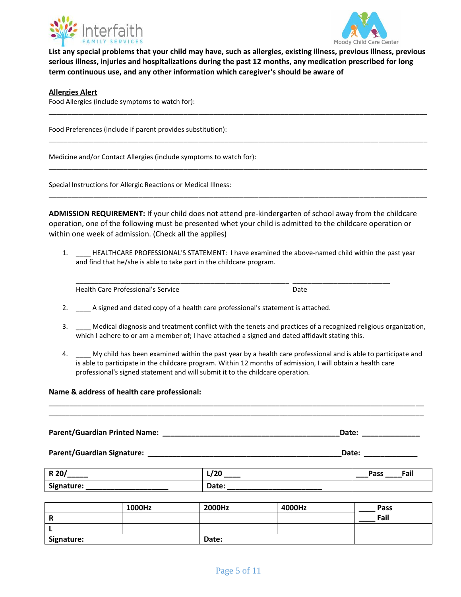



**List any special problems that your child may have, such as allergies, existing illness, previous illness, previous serious illness, injuries and hospitalizations during the past 12 months, any medication prescribed for long term continuous use, and any other information which caregiver's should be aware of** 

\_\_\_\_\_\_\_\_\_\_\_\_\_\_\_\_\_\_\_\_\_\_\_\_\_\_\_\_\_\_\_\_\_\_\_\_\_\_\_\_\_\_\_\_\_\_\_\_\_\_\_\_\_\_\_\_\_\_\_\_\_\_\_\_\_\_\_\_\_\_\_\_\_\_\_\_\_\_\_\_\_\_\_\_\_\_\_\_\_\_\_\_\_\_\_\_\_\_\_\_\_

\_\_\_\_\_\_\_\_\_\_\_\_\_\_\_\_\_\_\_\_\_\_\_\_\_\_\_\_\_\_\_\_\_\_\_\_\_\_\_\_\_\_\_\_\_\_\_\_\_\_\_\_\_\_\_\_\_\_\_\_\_\_\_\_\_\_\_\_\_\_\_\_\_\_\_\_\_\_\_\_\_\_\_\_\_\_\_\_\_\_\_\_\_\_\_\_\_\_\_\_\_

\_\_\_\_\_\_\_\_\_\_\_\_\_\_\_\_\_\_\_\_\_\_\_\_\_\_\_\_\_\_\_\_\_\_\_\_\_\_\_\_\_\_\_\_\_\_\_\_\_\_\_\_\_\_\_\_\_\_\_\_\_\_\_\_\_\_\_\_\_\_\_\_\_\_\_\_\_\_\_\_\_\_\_\_\_\_\_\_\_\_\_\_\_\_\_\_\_\_\_\_\_

\_\_\_\_\_\_\_\_\_\_\_\_\_\_\_\_\_\_\_\_\_\_\_\_\_\_\_\_\_\_\_\_\_\_\_\_\_\_\_\_\_\_\_\_\_\_\_\_\_\_\_\_\_\_\_\_\_\_\_\_\_\_\_\_\_\_\_\_\_\_\_\_\_\_\_\_\_\_\_\_\_\_\_\_\_\_\_\_\_\_\_\_\_\_\_\_\_\_\_\_\_

#### **Allergies Alert**

Food Allergies (include symptoms to watch for):

Food Preferences (include if parent provides substitution):

Medicine and/or Contact Allergies (include symptoms to watch for):

Special Instructions for Allergic Reactions or Medical Illness:

**ADMISSION REQUIREMENT:** If your child does not attend pre-kindergarten of school away from the childcare operation, one of the following must be presented whet your child is admitted to the childcare operation or within one week of admission. (Check all the applies)

1. \_\_\_\_ HEALTHCARE PROFESSIONAL'S STATEMENT: I have examined the above-named child within the past year and find that he/she is able to take part in the childcare program.

\_\_\_\_\_\_\_\_\_\_\_\_\_\_\_\_\_\_\_\_\_\_\_\_\_\_\_\_\_\_\_\_\_\_\_\_\_\_\_\_\_\_\_\_\_\_\_\_\_\_\_\_\_\_\_\_\_ \_\_\_\_\_\_\_\_\_\_\_\_\_\_\_\_\_\_\_\_\_\_\_\_\_\_

Health Care Professional's Service Date

- 2. \_\_\_\_ A signed and dated copy of a health care professional's statement is attached.
- 3. \_\_\_\_ Medical diagnosis and treatment conflict with the tenets and practices of a recognized religious organization, which I adhere to or am a member of; I have attached a signed and dated affidavit stating this.
- 4. \_\_\_\_ My child has been examined within the past year by a health care professional and is able to participate and is able to participate in the childcare program. Within 12 months of admission, I will obtain a health care professional's signed statement and will submit it to the childcare operation.

#### **Name & address of health care professional:**

Parent/Guardian Printed Name: **with a set of the set of the set of the set of the set of the set of the set of t** 

\_\_\_\_\_\_\_\_\_\_\_\_\_\_\_\_\_\_\_\_\_\_\_\_\_\_\_\_\_\_\_\_\_\_\_\_\_\_\_\_\_\_\_\_\_\_\_\_\_\_\_\_\_\_\_\_\_\_\_\_\_\_\_\_\_\_\_\_\_\_\_\_\_\_\_\_\_\_\_\_\_\_\_\_\_\_\_\_\_\_\_ \_\_\_\_\_\_\_\_\_\_\_\_\_\_\_\_\_\_\_\_\_\_\_\_\_\_\_\_\_\_\_\_\_\_\_\_\_\_\_\_\_\_\_\_\_\_\_\_\_\_\_\_\_\_\_\_\_\_\_\_\_\_\_\_\_\_\_\_\_\_\_\_\_\_\_\_\_\_\_\_\_\_\_\_\_\_\_\_\_\_\_

**Parent/Guardian Signature: \_\_\_\_\_\_\_\_\_\_\_\_\_\_\_\_\_\_\_\_\_\_\_\_\_\_\_\_\_\_\_\_\_\_\_\_\_\_\_\_\_\_\_\_\_\_\_Date: \_\_\_\_\_\_\_\_\_\_\_\_\_**

| R 20                    | חרו<br>67 ZU | Fail<br>Pass |
|-------------------------|--------------|--------------|
| $\bullet$<br>Signature: | Date:        |              |

|            | 1000Hz | 2000Hz | 4000Hz | <b>Pass</b> |
|------------|--------|--------|--------|-------------|
| n          |        |        |        | Fail        |
|            |        |        |        |             |
| Signature: |        | Date:  |        |             |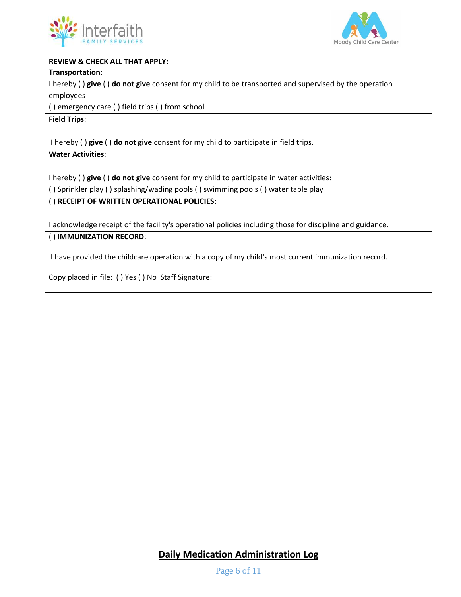



### **REVIEW & CHECK ALL THAT APPLY:**

### **Transportation**:

I hereby ( ) **give** ( ) **do not give** consent for my child to be transported and supervised by the operation employees

( ) emergency care ( ) field trips ( ) from school

**Field Trips**:

I hereby ( ) **give** ( ) **do not give** consent for my child to participate in field trips.

## **Water Activities**:

I hereby ( ) **give** ( ) **do not give** consent for my child to participate in water activities:

( ) Sprinkler play ( ) splashing/wading pools ( ) swimming pools ( ) water table play

### ( ) **RECEIPT OF WRITTEN OPERATIONAL POLICIES:**

I acknowledge receipt of the facility's operational policies including those for discipline and guidance.

## ( ) **IMMUNIZATION RECORD**:

I have provided the childcare operation with a copy of my child's most current immunization record.

Copy placed in file: () Yes () No Staff Signature: \_

**Daily Medication Administration Log**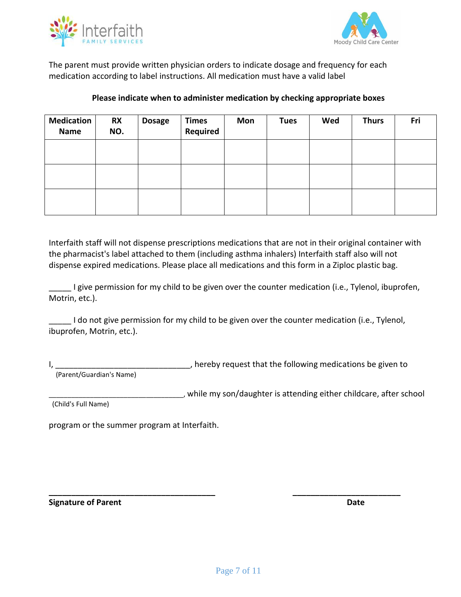



The parent must provide written physician orders to indicate dosage and frequency for each medication according to label instructions. All medication must have a valid label

## **Please indicate when to administer medication by checking appropriate boxes**

| <b>Medication</b><br><b>Name</b> | <b>RX</b><br>NO. | <b>Dosage</b> | <b>Times</b><br>Required | Mon | <b>Tues</b> | Wed | <b>Thurs</b> | Fri |
|----------------------------------|------------------|---------------|--------------------------|-----|-------------|-----|--------------|-----|
|                                  |                  |               |                          |     |             |     |              |     |
|                                  |                  |               |                          |     |             |     |              |     |
|                                  |                  |               |                          |     |             |     |              |     |

Interfaith staff will not dispense prescriptions medications that are not in their original container with the pharmacist's label attached to them (including asthma inhalers) Interfaith staff also will not dispense expired medications. Please place all medications and this form in a Ziploc plastic bag.

I give permission for my child to be given over the counter medication (i.e., Tylenol, ibuprofen, Motrin, etc.).

\_\_\_\_\_ I do not give permission for my child to be given over the counter medication (i.e., Tylenol, ibuprofen, Motrin, etc.).

I, \_\_\_\_\_\_\_\_\_\_\_\_\_\_\_\_\_\_\_\_\_\_\_\_\_\_\_\_\_\_\_\_\_\_, hereby request that the following medications be given to (Parent/Guardian's Name)

**\_\_\_\_\_\_\_\_\_\_\_\_\_\_\_\_\_\_\_\_\_\_\_\_\_\_\_\_\_\_\_\_\_\_\_\_\_ \_\_\_\_\_\_\_\_\_\_\_\_\_\_\_\_\_\_\_\_\_\_\_\_**

\_\_\_\_\_\_\_\_\_\_\_\_\_\_\_\_\_\_\_\_\_\_\_\_\_\_\_\_\_\_\_\_\_\_\_\_, while my son/daughter is attending either childcare, after school

(Child's Full Name)

program or the summer program at Interfaith.

**Signature of Parent Date**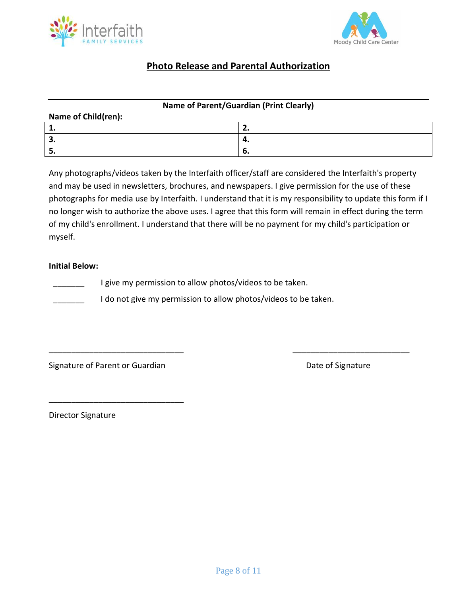



# **Photo Release and Parental Authorization**

### **Name of Parent/Guardian (Print Clearly)**

| Name of Child(ren): |     |  |  |  |
|---------------------|-----|--|--|--|
| . .                 | . . |  |  |  |
| . ت                 | ч.  |  |  |  |
| . ت                 | o.  |  |  |  |

Any photographs/videos taken by the Interfaith officer/staff are considered the Interfaith's property and may be used in newsletters, brochures, and newspapers. I give permission for the use of these photographs for media use by Interfaith. I understand that it is my responsibility to update this form if I no longer wish to authorize the above uses. I agree that this form will remain in effect during the term of my child's enrollment. I understand that there will be no payment for my child's participation or myself.

\_\_\_\_\_\_\_\_\_\_\_\_\_\_\_\_\_\_\_\_\_\_\_\_\_\_\_\_\_\_ \_\_\_\_\_\_\_\_\_\_\_\_\_\_\_\_\_\_\_\_\_\_\_\_\_\_

### **Initial Below:**

I give my permission to allow photos/videos to be taken.

I do not give my permission to allow photos/videos to be taken.

Signature of Parent or Guardian Date of Signature Date of Signature

\_\_\_\_\_\_\_\_\_\_\_\_\_\_\_\_\_\_\_\_\_\_\_\_\_\_\_\_\_\_

Director Signature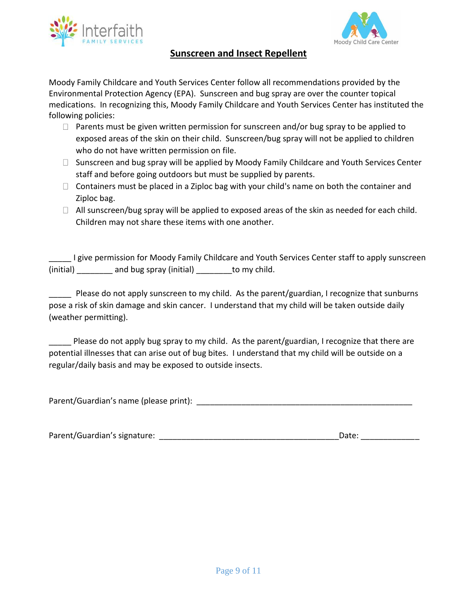



# **Sunscreen and Insect Repellent**

Moody Family Childcare and Youth Services Center follow all recommendations provided by the Environmental Protection Agency (EPA). Sunscreen and bug spray are over the counter topical medications. In recognizing this, Moody Family Childcare and Youth Services Center has instituted the following policies:

- $\Box$  Parents must be given written permission for sunscreen and/or bug spray to be applied to exposed areas of the skin on their child. Sunscreen/bug spray will not be applied to children who do not have written permission on file.
- $\Box$  Sunscreen and bug spray will be applied by Moody Family Childcare and Youth Services Center staff and before going outdoors but must be supplied by parents.
- $\Box$  Containers must be placed in a Ziploc bag with your child's name on both the container and Ziploc bag.
- $\Box$  All sunscreen/bug spray will be applied to exposed areas of the skin as needed for each child. Children may not share these items with one another.

I give permission for Moody Family Childcare and Youth Services Center staff to apply sunscreen (initial) and bug spray (initial) to my child.

Please do not apply sunscreen to my child. As the parent/guardian, I recognize that sunburns pose a risk of skin damage and skin cancer. I understand that my child will be taken outside daily (weather permitting).

\_\_\_\_\_ Please do not apply bug spray to my child. As the parent/guardian, I recognize that there are potential illnesses that can arise out of bug bites. I understand that my child will be outside on a regular/daily basis and may be exposed to outside insects.

Parent/Guardian's name (please print): **Example 20** 

| Parent/Guardian's signature: | Date: |
|------------------------------|-------|
|------------------------------|-------|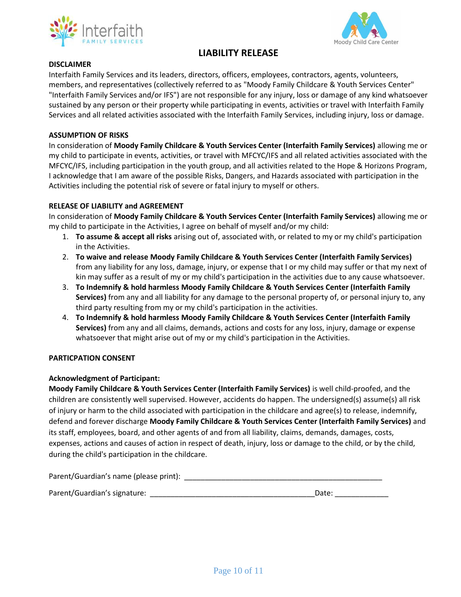



# **LIABILITY RELEASE**

#### **DISCLAIMER**

Interfaith Family Services and its leaders, directors, officers, employees, contractors, agents, volunteers, members, and representatives (collectively referred to as "Moody Family Childcare & Youth Services Center" "Interfaith Family Services and/or IFS") are not responsible for any injury, loss or damage of any kind whatsoever sustained by any person or their property while participating in events, activities or travel with Interfaith Family Services and all related activities associated with the Interfaith Family Services, including injury, loss or damage.

### **ASSUMPTION OF RISKS**

In consideration of **Moody Family Childcare & Youth Services Center (Interfaith Family Services)** allowing me or my child to participate in events, activities, or travel with MFCYC/IFS and all related activities associated with the MFCYC/IFS, including participation in the youth group, and all activities related to the Hope & Horizons Program, I acknowledge that I am aware of the possible Risks, Dangers, and Hazards associated with participation in the Activities including the potential risk of severe or fatal injury to myself or others.

#### **RELEASE OF LIABILITY and AGREEMENT**

In consideration of **Moody Family Childcare & Youth Services Center (Interfaith Family Services)** allowing me or my child to participate in the Activities, I agree on behalf of myself and/or my child:

- 1. **To assume & accept all risks** arising out of, associated with, or related to my or my child's participation in the Activities.
- 2. **To waive and release Moody Family Childcare & Youth Services Center (Interfaith Family Services)** from any liability for any loss, damage, injury, or expense that I or my child may suffer or that my next of kin may suffer as a result of my or my child's participation in the activities due to any cause whatsoever.
- 3. **To Indemnify & hold harmless Moody Family Childcare & Youth Services Center (Interfaith Family Services)** from any and all liability for any damage to the personal property of, or personal injury to, any third party resulting from my or my child's participation in the activities.
- 4. **To Indemnify & hold harmless Moody Family Childcare & Youth Services Center (Interfaith Family Services)** from any and all claims, demands, actions and costs for any loss, injury, damage or expense whatsoever that might arise out of my or my child's participation in the Activities.

#### **PARTICPATION CONSENT**

#### **Acknowledgment of Participant:**

**Moody Family Childcare & Youth Services Center (Interfaith Family Services)** is well child-proofed, and the children are consistently well supervised. However, accidents do happen. The undersigned(s) assume(s) all risk of injury or harm to the child associated with participation in the childcare and agree(s) to release, indemnify, defend and forever discharge **Moody Family Childcare & Youth Services Center (Interfaith Family Services)** and its staff, employees, board, and other agents of and from all liability, claims, demands, damages, costs, expenses, actions and causes of action in respect of death, injury, loss or damage to the child, or by the child, during the child's participation in the childcare.

| Parent/Guardian's name (please print): |  |
|----------------------------------------|--|
|                                        |  |
|                                        |  |

| Parent/Guardian's signature: | Date: |  |
|------------------------------|-------|--|
|                              |       |  |